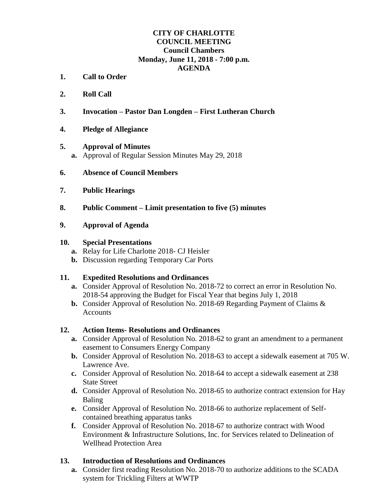### **CITY OF CHARLOTTE COUNCIL MEETING Council Chambers Monday, June 11, 2018 - 7:00 p.m. AGENDA**

- **1. Call to Order**
- **2. Roll Call**
- **3. Invocation – Pastor Dan Longden – First Lutheran Church**
- **4. Pledge of Allegiance**

### **5. Approval of Minutes**

- **a.** Approval of Regular Session Minutes May 29, 2018
- **6. Absence of Council Members**
- **7. Public Hearings**
- **8. Public Comment – Limit presentation to five (5) minutes**

### **9. Approval of Agenda**

### **10. Special Presentations**

- **a.** Relay for Life Charlotte 2018- CJ Heisler
- **b.** Discussion regarding Temporary Car Ports

### **11. Expedited Resolutions and Ordinances**

- **a.** Consider Approval of Resolution No. 2018-72 to correct an error in Resolution No. 2018-54 approving the Budget for Fiscal Year that begins July 1, 2018
- **b.** Consider Approval of Resolution No. 2018-69 Regarding Payment of Claims & Accounts

### **12. Action Items- Resolutions and Ordinances**

- **a.** Consider Approval of Resolution No. 2018-62 to grant an amendment to a permanent easement to Consumers Energy Company
- **b.** Consider Approval of Resolution No. 2018-63 to accept a sidewalk easement at 705 W. Lawrence Ave.
- **c.** Consider Approval of Resolution No. 2018-64 to accept a sidewalk easement at 238 State Street
- **d.** Consider Approval of Resolution No. 2018-65 to authorize contract extension for Hay Baling
- **e.** Consider Approval of Resolution No. 2018-66 to authorize replacement of Selfcontained breathing apparatus tanks
- **f.** Consider Approval of Resolution No. 2018-67 to authorize contract with Wood Environment & Infrastructure Solutions, Inc. for Services related to Delineation of Wellhead Protection Area

### **13. Introduction of Resolutions and Ordinances**

**a.** Consider first reading Resolution No. 2018-70 to authorize additions to the SCADA system for Trickling Filters at WWTP